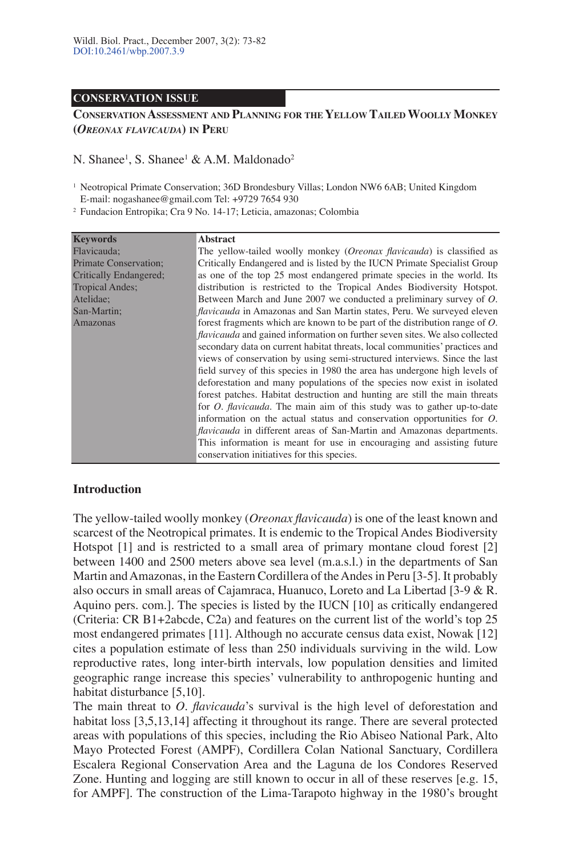#### **CONSERVATION ISSUE**

### **CONSERVATION ASSESSMENT AND PLANNING FOR THE YELLOW TAILED WOOLLY MONKEY (***OREONAX FLAVICAUDA***) IN PERU**

# N. Shanee<sup>1</sup>, S. Shanee<sup>1</sup> & A.M. Maldonado<sup>2</sup>

1 Neotropical Primate Conservation; 36D Brondesbury Villas; London NW6 6AB; United Kingdom E-mail: nogashanee@gmail.com Tel: +9729 7654 930

2 Fundacion Entropika; Cra 9 No. 14-17; Leticia, amazonas; Colombia

| <b>Keywords</b>        | <b>Abstract</b>                                                                    |
|------------------------|------------------------------------------------------------------------------------|
| Flavicauda;            | The yellow-tailed woolly monkey (Oreonax flavicauda) is classified as              |
| Primate Conservation;  | Critically Endangered and is listed by the IUCN Primate Specialist Group           |
| Critically Endangered: | as one of the top 25 most endangered primate species in the world. Its             |
| <b>Tropical Andes:</b> | distribution is restricted to the Tropical Andes Biodiversity Hotspot.             |
| Atelidae;              | Between March and June 2007 we conducted a preliminary survey of O.                |
| San-Martin;            | <i>flavicauda</i> in Amazonas and San Martin states, Peru. We surveyed eleven      |
| Amazonas               | forest fragments which are known to be part of the distribution range of $O$ .     |
|                        | <i>flavicauda</i> and gained information on further seven sites. We also collected |
|                        | secondary data on current habitat threats, local communities' practices and        |
|                        | views of conservation by using semi-structured interviews. Since the last          |
|                        | field survey of this species in 1980 the area has undergone high levels of         |
|                        | deforestation and many populations of the species now exist in isolated            |
|                        | forest patches. Habitat destruction and hunting are still the main threats         |
|                        | for <i>O. flavicauda</i> . The main aim of this study was to gather up-to-date     |
|                        | information on the actual status and conservation opportunities for $O$ .          |
|                        | <i>flavicauda</i> in different areas of San-Martin and Amazonas departments.       |
|                        | This information is meant for use in encouraging and assisting future              |
|                        | conservation initiatives for this species.                                         |

#### **Introduction**

The yellow-tailed woolly monkey (*Oreonax flavicauda*) is one of the least known and scarcest of the Neotropical primates. It is endemic to the Tropical Andes Biodiversity Hotspot [1] and is restricted to a small area of primary montane cloud forest [2] between 1400 and 2500 meters above sea level (m.a.s.l.) in the departments of San Martin and Amazonas, in the Eastern Cordillera of the Andes in Peru [3-5]. It probably also occurs in small areas of Cajamraca, Huanuco, Loreto and La Libertad [3-9 & R. Aquino pers. com.]. The species is listed by the IUCN [10] as critically endangered (Criteria: CR B1+2abcde, C2a) and features on the current list of the world's top 25 most endangered primates [11]. Although no accurate census data exist, Nowak [12] cites a population estimate of less than 250 individuals surviving in the wild. Low reproductive rates, long inter-birth intervals, low population densities and limited geographic range increase this species' vulnerability to anthropogenic hunting and habitat disturbance [5,10].

The main threat to *O. flavicauda*'s survival is the high level of deforestation and habitat loss [3,5,13,14] affecting it throughout its range. There are several protected areas with populations of this species, including the Rio Abiseo National Park, Alto Mayo Protected Forest (AMPF), Cordillera Colan National Sanctuary, Cordillera Escalera Regional Conservation Area and the Laguna de los Condores Reserved Zone. Hunting and logging are still known to occur in all of these reserves [e.g. 15, for AMPF]. The construction of the Lima-Tarapoto highway in the 1980's brought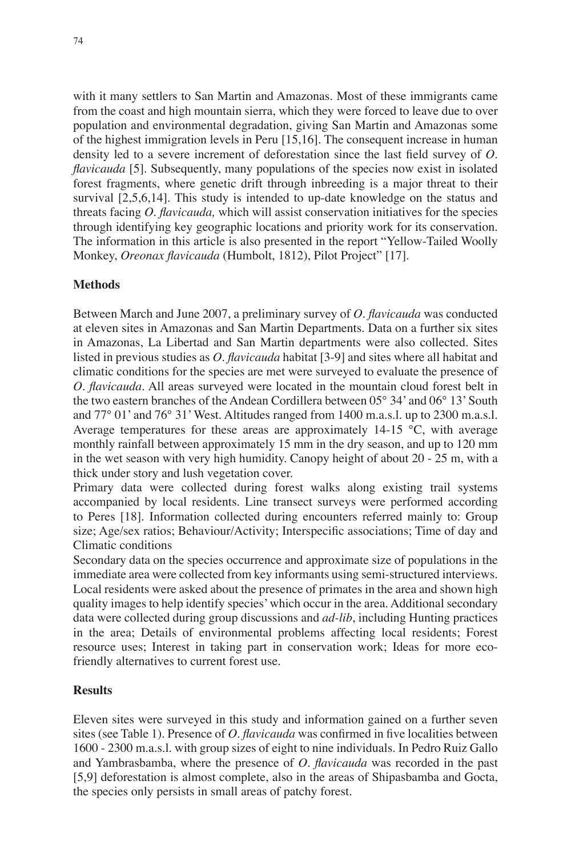with it many settlers to San Martin and Amazonas. Most of these immigrants came from the coast and high mountain sierra, which they were forced to leave due to over population and environmental degradation, giving San Martin and Amazonas some of the highest immigration levels in Peru [15,16]. The consequent increase in human density led to a severe increment of deforestation since the last field survey of *O. flavicauda* [5]. Subsequently, many populations of the species now exist in isolated forest fragments, where genetic drift through inbreeding is a major threat to their survival [2,5,6,14]. This study is intended to up-date knowledge on the status and threats facing *O. flavicauda,* which will assist conservation initiatives for the species through identifying key geographic locations and priority work for its conservation. The information in this article is also presented in the report "Yellow-Tailed Woolly Monkey, *Oreonax flavicauda* (Humbolt, 1812), Pilot Project" [17].

## **Methods**

Between March and June 2007, a preliminary survey of *O. flavicauda* was conducted at eleven sites in Amazonas and San Martin Departments. Data on a further six sites in Amazonas, La Libertad and San Martin departments were also collected. Sites listed in previous studies as *O. flavicauda* habitat [3-9] and sites where all habitat and climatic conditions for the species are met were surveyed to evaluate the presence of *O. flavicauda*. All areas surveyed were located in the mountain cloud forest belt in the two eastern branches of the Andean Cordillera between 05° 34' and 06° 13' South and 77° 01' and 76° 31' West. Altitudes ranged from 1400 m.a.s.l. up to 2300 m.a.s.l. Average temperatures for these areas are approximately  $14{\text -}15$  °C, with average monthly rainfall between approximately 15 mm in the dry season, and up to 120 mm in the wet season with very high humidity. Canopy height of about 20 - 25 m, with a thick under story and lush vegetation cover.

Primary data were collected during forest walks along existing trail systems accompanied by local residents. Line transect surveys were performed according to Peres [18]. Information collected during encounters referred mainly to: Group size; Age/sex ratios; Behaviour/Activity; Interspecific associations; Time of day and Climatic conditions

Secondary data on the species occurrence and approximate size of populations in the immediate area were collected from key informants using semi-structured interviews. Local residents were asked about the presence of primates in the area and shown high quality images to help identify species' which occur in the area. Additional secondary data were collected during group discussions and *ad-lib*, including Hunting practices in the area; Details of environmental problems affecting local residents; Forest resource uses; Interest in taking part in conservation work; Ideas for more ecofriendly alternatives to current forest use.

## **Results**

Eleven sites were surveyed in this study and information gained on a further seven sites (see Table 1). Presence of *O. flavicauda* was confirmed in five localities between 1600 - 2300 m.a.s.l. with group sizes of eight to nine individuals. In Pedro Ruiz Gallo and Yambrasbamba, where the presence of *O. flavicauda* was recorded in the past [5,9] deforestation is almost complete, also in the areas of Shipasbamba and Gocta, the species only persists in small areas of patchy forest.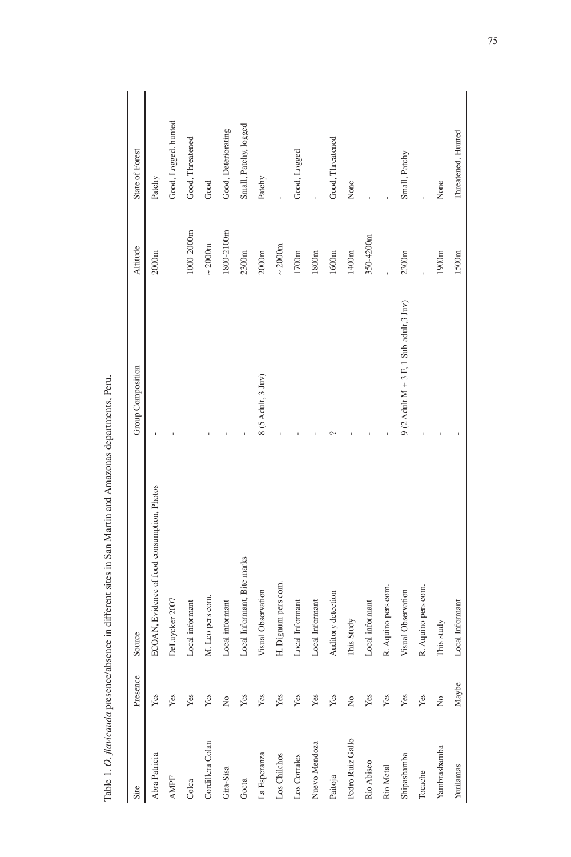| Site             | Presence      | Source                                      | Group Composition                         | Altitude             | State of Forest       |
|------------------|---------------|---------------------------------------------|-------------------------------------------|----------------------|-----------------------|
| Abra Patricia    | Yes           | ECOAN, Evidence of food consumption, Photos |                                           | 2000m                | Patchy                |
| <b>AMPF</b>      | Yes           | DeLuycker 2007                              |                                           |                      | Good, Logged, hunted  |
| Colca            | Yes           | Local informant                             |                                           | 1000-2000m           | Good, Threatened      |
| Cordillera Colan | Yes           | M. Leo pers com.                            |                                           | $\sim$ 2000m         | Good                  |
| Gira-Sisa        | $\tilde{z}$   | Local informant                             |                                           | 1800-2100m           | Good, Deteriorating   |
| Gocta            | Yes           | Local Informant, Bite marks                 |                                           | 2300m                | Small, Patchy, logged |
| La Esperanza     | Yes           | Visual Observation                          | 8 (5 Adult, 3 Juv)                        | 2000m                | Patchy                |
| Los Chilchos     | Yes           | H. Dignum pers com                          |                                           | $\sim 2000 \text{m}$ |                       |
| Los Corrales     | Yes           | Local Informant                             |                                           | 1700m                | Good, Logged          |
| Nuevo Mendoza    | Yes           | Local Informant                             |                                           | 1800m                |                       |
| Paitoja          | Yes           | Auditory detection                          |                                           | 1600m                | Good, Threatened      |
| Pedro Ruiz Gallo | ż             | This Study                                  |                                           | 1400m                | None                  |
| Rio Abiseo       | Yes           | Local informant                             |                                           | 350-4200m            |                       |
| Rio Metal        | Yes           | R. Aquino pers com.                         |                                           |                      |                       |
| Shipasbamba      | Yes           | Visual Observation                          | 9 (2 Adult $M + 3$ F, 1 Sub-adult, 3 Juv) | 2300m                | Small, Patchy         |
| Tocache          | Yes           | R. Aquino pers com.                         |                                           |                      |                       |
| Yambrasbamba     | $\frac{1}{2}$ | This study                                  |                                           | 1900m                | None                  |
| Yurilamas        | Maybe         | Local Informant                             |                                           | 1500m                | Threatened, Hunted    |

Table 1. O. flavicauda presence/absence in different sites in San Martin and Amazonas departments, Peru. Table 1. *O. flavicauda* presence/absence in different sites in San Martin and Amazonas departments, Peru.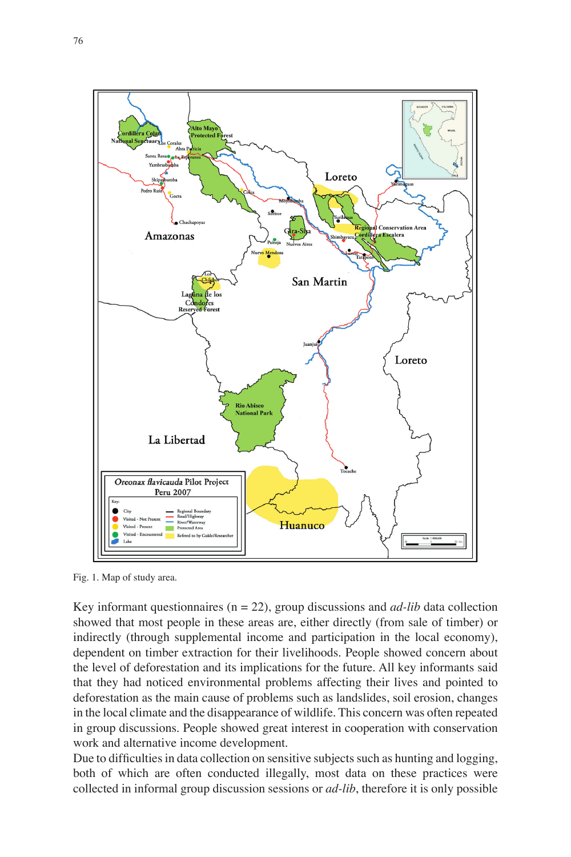

Fig. 1. Map of study area.

Key informant questionnaires ( $n = 22$ ), group discussions and *ad-lib* data collection showed that most people in these areas are, either directly (from sale of timber) or indirectly (through supplemental income and participation in the local economy), dependent on timber extraction for their livelihoods. People showed concern about the level of deforestation and its implications for the future. All key informants said that they had noticed environmental problems affecting their lives and pointed to deforestation as the main cause of problems such as landslides, soil erosion, changes in the local climate and the disappearance of wildlife. This concern was often repeated in group discussions. People showed great interest in cooperation with conservation work and alternative income development.

Due to difficulties in data collection on sensitive subjects such as hunting and logging, both of which are often conducted illegally, most data on these practices were collected in informal group discussion sessions or *ad-lib*, therefore it is only possible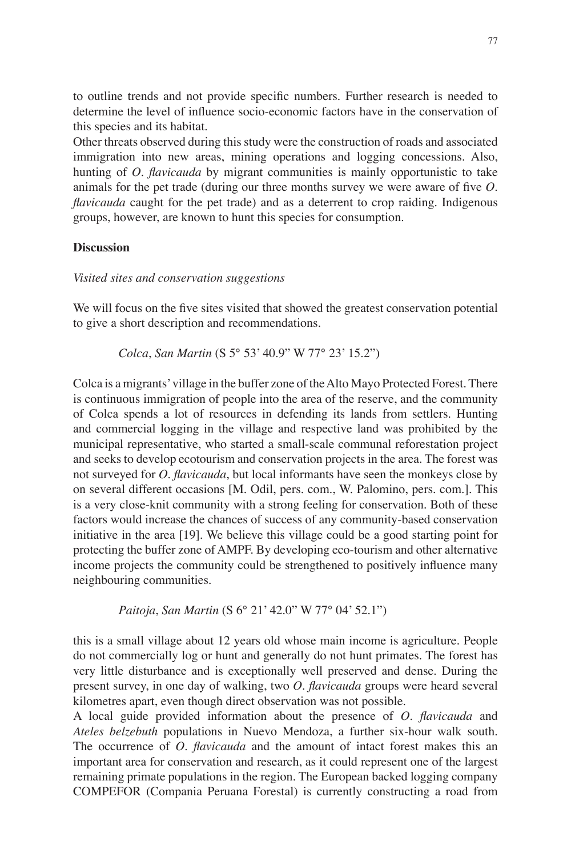to outline trends and not provide specific numbers. Further research is needed to determine the level of influence socio-economic factors have in the conservation of this species and its habitat.

Other threats observed during this study were the construction of roads and associated immigration into new areas, mining operations and logging concessions. Also, hunting of *O. flavicauda* by migrant communities is mainly opportunistic to take animals for the pet trade (during our three months survey we were aware of five *O. flavicauda* caught for the pet trade) and as a deterrent to crop raiding. Indigenous groups, however, are known to hunt this species for consumption.

#### **Discussion**

#### *Visited sites and conservation suggestions*

We will focus on the five sites visited that showed the greatest conservation potential to give a short description and recommendations.

 *Colca*, *San Martin* (S 5° 53' 40.9" W 77° 23' 15.2")

Colca is a migrants' village in the buffer zone of the Alto Mayo Protected Forest. There is continuous immigration of people into the area of the reserve, and the community of Colca spends a lot of resources in defending its lands from settlers. Hunting and commercial logging in the village and respective land was prohibited by the municipal representative, who started a small-scale communal reforestation project and seeks to develop ecotourism and conservation projects in the area. The forest was not surveyed for *O. flavicauda*, but local informants have seen the monkeys close by on several different occasions [M. Odil, pers. com., W. Palomino, pers. com.]. This is a very close-knit community with a strong feeling for conservation. Both of these factors would increase the chances of success of any community-based conservation initiative in the area [19]. We believe this village could be a good starting point for protecting the buffer zone of AMPF. By developing eco-tourism and other alternative income projects the community could be strengthened to positively influence many neighbouring communities.

 *Paitoja*, *San Martin* (S 6° 21' 42.0" W 77° 04' 52.1")

this is a small village about 12 years old whose main income is agriculture. People do not commercially log or hunt and generally do not hunt primates. The forest has very little disturbance and is exceptionally well preserved and dense. During the present survey, in one day of walking, two *O. flavicauda* groups were heard several kilometres apart, even though direct observation was not possible.

A local guide provided information about the presence of *O. flavicauda* and *Ateles belzebuth* populations in Nuevo Mendoza, a further six-hour walk south. The occurrence of *O. flavicauda* and the amount of intact forest makes this an important area for conservation and research, as it could represent one of the largest remaining primate populations in the region. The European backed logging company COMPEFOR (Compania Peruana Forestal) is currently constructing a road from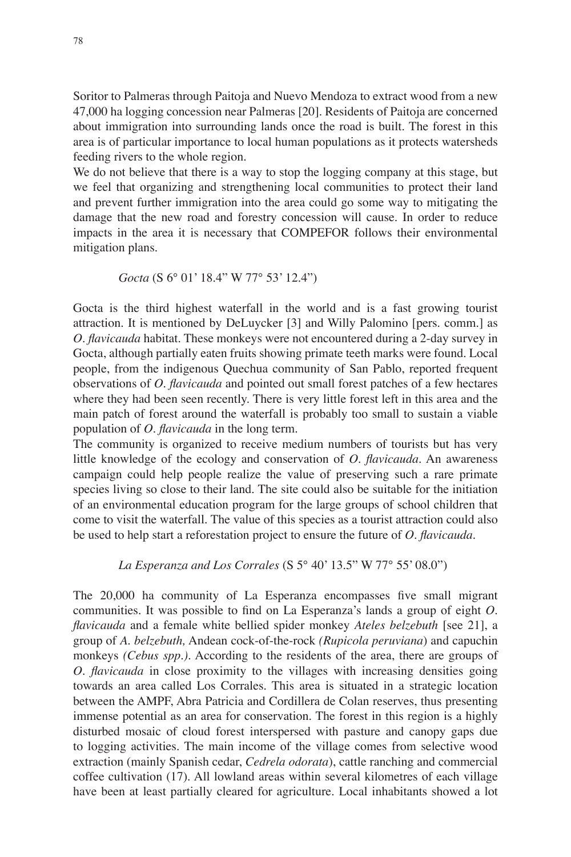Soritor to Palmeras through Paitoja and Nuevo Mendoza to extract wood from a new 47,000 ha logging concession near Palmeras [20]. Residents of Paitoja are concerned about immigration into surrounding lands once the road is built. The forest in this area is of particular importance to local human populations as it protects watersheds feeding rivers to the whole region.

We do not believe that there is a way to stop the logging company at this stage, but we feel that organizing and strengthening local communities to protect their land and prevent further immigration into the area could go some way to mitigating the damage that the new road and forestry concession will cause. In order to reduce impacts in the area it is necessary that COMPEFOR follows their environmental mitigation plans.

$$
Gocta (S 6° 01' 18.4" W 77° 53' 12.4")
$$

Gocta is the third highest waterfall in the world and is a fast growing tourist attraction. It is mentioned by DeLuycker [3] and Willy Palomino [pers. comm.] as *O. flavicauda* habitat. These monkeys were not encountered during a 2-day survey in Gocta, although partially eaten fruits showing primate teeth marks were found. Local people, from the indigenous Quechua community of San Pablo, reported frequent observations of *O. flavicauda* and pointed out small forest patches of a few hectares where they had been seen recently. There is very little forest left in this area and the main patch of forest around the waterfall is probably too small to sustain a viable population of *O. flavicauda* in the long term*.*

The community is organized to receive medium numbers of tourists but has very little knowledge of the ecology and conservation of *O. flavicauda*. An awareness campaign could help people realize the value of preserving such a rare primate species living so close to their land. The site could also be suitable for the initiation of an environmental education program for the large groups of school children that come to visit the waterfall. The value of this species as a tourist attraction could also be used to help start a reforestation project to ensure the future of *O. flavicauda*.

 *La Esperanza and Los Corrales* (S 5° 40' 13.5" W 77° 55' 08.0")

The 20,000 ha community of La Esperanza encompasses five small migrant communities. It was possible to find on La Esperanza's lands a group of eight *O. flavicauda* and a female white bellied spider monkey *Ateles belzebuth* [see 21], a group of *A. belzebuth,* Andean cock-of-the-rock *(Rupicola peruviana*) and capuchin monkeys *(Cebus spp.)*. According to the residents of the area, there are groups of *O. flavicauda* in close proximity to the villages with increasing densities going towards an area called Los Corrales. This area is situated in a strategic location between the AMPF, Abra Patricia and Cordillera de Colan reserves, thus presenting immense potential as an area for conservation. The forest in this region is a highly disturbed mosaic of cloud forest interspersed with pasture and canopy gaps due to logging activities. The main income of the village comes from selective wood extraction (mainly Spanish cedar, *Cedrela odorata*), cattle ranching and commercial coffee cultivation (17). All lowland areas within several kilometres of each village have been at least partially cleared for agriculture. Local inhabitants showed a lot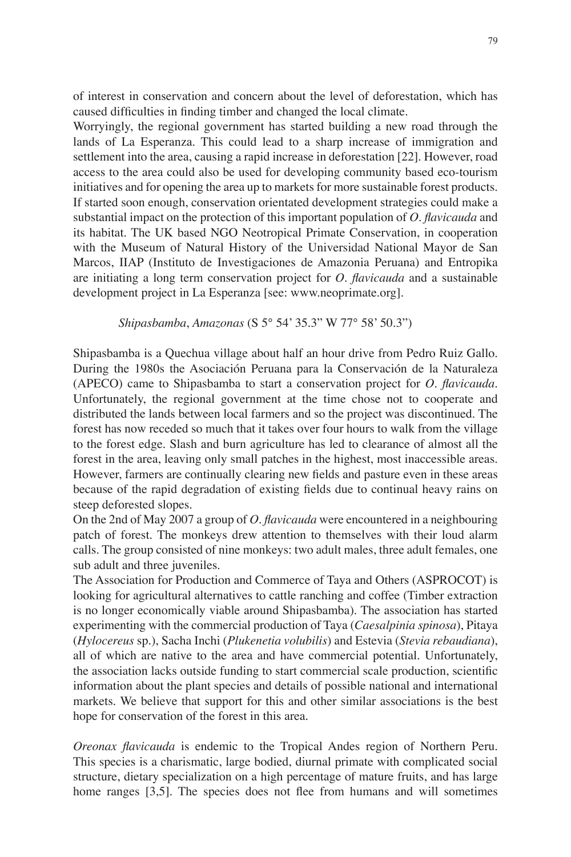of interest in conservation and concern about the level of deforestation, which has caused difficulties in finding timber and changed the local climate.

Worryingly, the regional government has started building a new road through the lands of La Esperanza. This could lead to a sharp increase of immigration and settlement into the area, causing a rapid increase in deforestation [22]. However, road access to the area could also be used for developing community based eco-tourism initiatives and for opening the area up to markets for more sustainable forest products. If started soon enough, conservation orientated development strategies could make a substantial impact on the protection of this important population of *O. flavicauda* and its habitat. The UK based NGO Neotropical Primate Conservation, in cooperation with the Museum of Natural History of the Universidad National Mayor de San Marcos, IIAP (Instituto de Investigaciones de Amazonia Peruana) and Entropika are initiating a long term conservation project for *O. flavicauda* and a sustainable development project in La Esperanza [see: www.neoprimate.org].

### *Shipasbamba*, *Amazonas* (S 5° 54' 35.3" W 77° 58' 50.3")

Shipasbamba is a Quechua village about half an hour drive from Pedro Ruiz Gallo. During the 1980s the Asociación Peruana para la Conservación de la Naturaleza (APECO) came to Shipasbamba to start a conservation project for *O. flavicauda.*  Unfortunately, the regional government at the time chose not to cooperate and distributed the lands between local farmers and so the project was discontinued. The forest has now receded so much that it takes over four hours to walk from the village to the forest edge. Slash and burn agriculture has led to clearance of almost all the forest in the area, leaving only small patches in the highest, most inaccessible areas. However, farmers are continually clearing new fields and pasture even in these areas because of the rapid degradation of existing fields due to continual heavy rains on steep deforested slopes.

On the 2nd of May 2007 a group of *O. flavicauda* were encountered in a neighbouring patch of forest. The monkeys drew attention to themselves with their loud alarm calls. The group consisted of nine monkeys: two adult males, three adult females, one sub adult and three juveniles.

The Association for Production and Commerce of Taya and Others (ASPROCOT) is looking for agricultural alternatives to cattle ranching and coffee (Timber extraction is no longer economically viable around Shipasbamba). The association has started experimenting with the commercial production of Taya (*Caesalpinia spinosa*), Pitaya (*Hylocereus* sp*.*), Sacha Inchi (*Plukenetia volubilis*) and Estevia (*Stevia rebaudiana*), all of which are native to the area and have commercial potential. Unfortunately, the association lacks outside funding to start commercial scale production, scientific information about the plant species and details of possible national and international markets. We believe that support for this and other similar associations is the best hope for conservation of the forest in this area.

*Oreonax flavicauda* is endemic to the Tropical Andes region of Northern Peru. This species is a charismatic, large bodied, diurnal primate with complicated social structure, dietary specialization on a high percentage of mature fruits, and has large home ranges [3,5]. The species does not flee from humans and will sometimes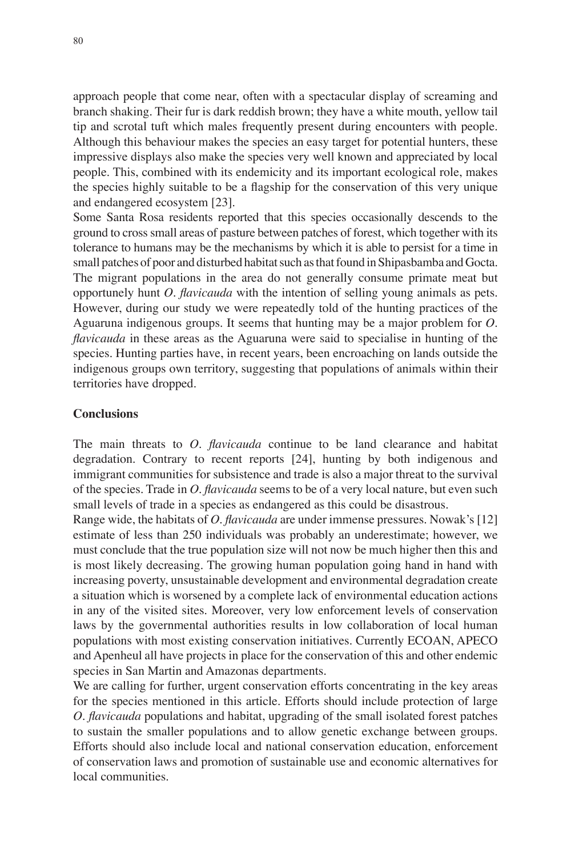approach people that come near, often with a spectacular display of screaming and branch shaking. Their fur is dark reddish brown; they have a white mouth, yellow tail tip and scrotal tuft which males frequently present during encounters with people. Although this behaviour makes the species an easy target for potential hunters, these impressive displays also make the species very well known and appreciated by local people. This, combined with its endemicity and its important ecological role, makes the species highly suitable to be a flagship for the conservation of this very unique and endangered ecosystem [23].

Some Santa Rosa residents reported that this species occasionally descends to the ground to cross small areas of pasture between patches of forest, which together with its tolerance to humans may be the mechanisms by which it is able to persist for a time in small patches of poor and disturbed habitat such as that found in Shipasbamba and Gocta. The migrant populations in the area do not generally consume primate meat but opportunely hunt *O. flavicauda* with the intention of selling young animals as pets. However, during our study we were repeatedly told of the hunting practices of the Aguaruna indigenous groups. It seems that hunting may be a major problem for *O. flavicauda* in these areas as the Aguaruna were said to specialise in hunting of the species. Hunting parties have, in recent years, been encroaching on lands outside the indigenous groups own territory, suggesting that populations of animals within their territories have dropped.

### **Conclusions**

The main threats to *O. flavicauda* continue to be land clearance and habitat degradation. Contrary to recent reports [24], hunting by both indigenous and immigrant communities for subsistence and trade is also a major threat to the survival of the species. Trade in *O. flavicauda* seems to be of a very local nature, but even such small levels of trade in a species as endangered as this could be disastrous.

Range wide, the habitats of *O. flavicauda* are under immense pressures. Nowak's [12] estimate of less than 250 individuals was probably an underestimate; however, we must conclude that the true population size will not now be much higher then this and is most likely decreasing. The growing human population going hand in hand with increasing poverty, unsustainable development and environmental degradation create a situation which is worsened by a complete lack of environmental education actions in any of the visited sites. Moreover, very low enforcement levels of conservation laws by the governmental authorities results in low collaboration of local human populations with most existing conservation initiatives. Currently ECOAN, APECO and Apenheul all have projects in place for the conservation of this and other endemic species in San Martin and Amazonas departments.

We are calling for further, urgent conservation efforts concentrating in the key areas for the species mentioned in this article. Efforts should include protection of large *O. flavicauda* populations and habitat, upgrading of the small isolated forest patches to sustain the smaller populations and to allow genetic exchange between groups. Efforts should also include local and national conservation education, enforcement of conservation laws and promotion of sustainable use and economic alternatives for local communities.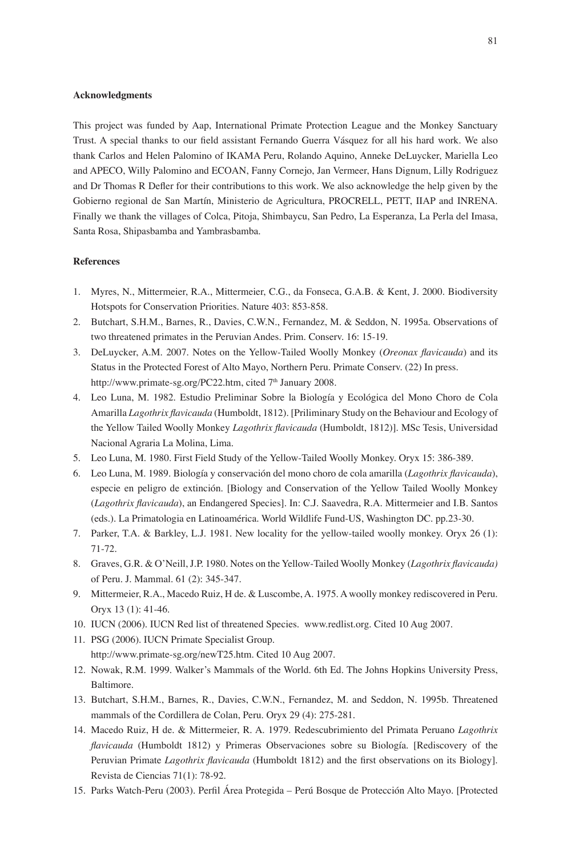#### **Acknowledgments**

This project was funded by Aap, International Primate Protection League and the Monkey Sanctuary Trust. A special thanks to our field assistant Fernando Guerra Vásquez for all his hard work. We also thank Carlos and Helen Palomino of IKAMA Peru, Rolando Aquino, Anneke DeLuycker, Mariella Leo and APECO, Willy Palomino and ECOAN, Fanny Cornejo, Jan Vermeer, Hans Dignum, Lilly Rodriguez and Dr Thomas R Defler for their contributions to this work. We also acknowledge the help given by the Gobierno regional de San Martín, Ministerio de Agricultura, PROCRELL, PETT, IIAP and INRENA. Finally we thank the villages of Colca, Pitoja, Shimbaycu, San Pedro, La Esperanza, La Perla del Imasa, Santa Rosa, Shipasbamba and Yambrasbamba.

#### **References**

- 1. Myres, N., Mittermeier, R.A., Mittermeier, C.G., da Fonseca, G.A.B. & Kent, J. 2000. Biodiversity Hotspots for Conservation Priorities. Nature 403: 853-858.
- 2. Butchart, S.H.M., Barnes, R., Davies, C.W.N., Fernandez, M. & Seddon, N. 1995a. Observations of two threatened primates in the Peruvian Andes. Prim. Conserv. 16: 15-19.
- 3. DeLuycker, A.M. 2007. Notes on the Yellow-Tailed Woolly Monkey (*Oreonax flavicauda*) and its Status in the Protected Forest of Alto Mayo, Northern Peru. Primate Conserv. (22) In press. http://www.primate-sg.org/PC22.htm, cited 7<sup>th</sup> January 2008.
- 4. Leo Luna, M. 1982. Estudio Preliminar Sobre la Biología y Ecológica del Mono Choro de Cola Amarilla *Lagothrix flavicauda* (Humboldt, 1812). [Priliminary Study on the Behaviour and Ecology of the Yellow Tailed Woolly Monkey *Lagothrix flavicauda* (Humboldt, 1812)]. MSc Tesis, Universidad Nacional Agraria La Molina, Lima.
- 5. Leo Luna, M. 1980. First Field Study of the Yellow-Tailed Woolly Monkey. Oryx 15: 386-389.
- 6. Leo Luna, M. 1989. Biología y conservación del mono choro de cola amarilla (*Lagothrix flavicauda*), especie en peligro de extinción. [Biology and Conservation of the Yellow Tailed Woolly Monkey (*Lagothrix flavicauda*), an Endangered Species]. In: C.J. Saavedra, R.A. Mittermeier and I.B. Santos (eds.). La Primatologia en Latinoamérica. World Wildlife Fund-US, Washington DC. pp.23-30.
- 7. Parker, T.A. & Barkley, L.J. 1981. New locality for the yellow-tailed woolly monkey. Oryx 26 (1): 71-72.
- 8. Graves, G.R. & O'Neill, J.P. 1980. Notes on the Yellow-Tailed Woolly Monkey (*Lagothrix flavicauda)*  of Peru. J. Mammal. 61 (2): 345-347.
- 9. Mittermeier, R.A., Macedo Ruiz, H de. & Luscombe, A. 1975. A woolly monkey rediscovered in Peru. Oryx 13 (1): 41-46.
- 10. IUCN (2006). IUCN Red list of threatened Species. www.redlist.org. Cited 10 Aug 2007.
- 11. PSG (2006). IUCN Primate Specialist Group. http://www.primate-sg.org/newT25.htm. Cited 10 Aug 2007.
- 12. Nowak, R.M. 1999. Walker's Mammals of the World. 6th Ed. The Johns Hopkins University Press, Baltimore.
- 13. Butchart, S.H.M., Barnes, R., Davies, C.W.N., Fernandez, M. and Seddon, N. 1995b. Threatened mammals of the Cordillera de Colan, Peru. Oryx 29 (4): 275-281.
- 14. Macedo Ruiz, H de. & Mittermeier, R. A. 1979. Redescubrimiento del Primata Peruano *Lagothrix flavicauda* (Humboldt 1812) y Primeras Observaciones sobre su Biología. [Rediscovery of the Peruvian Primate *Lagothrix flavicauda* (Humboldt 1812) and the first observations on its Biology]. Revista de Ciencias 71(1): 78-92.
- 15. Parks Watch-Peru (2003). Perfil Área Protegida Perú Bosque de Protección Alto Mayo. [Protected